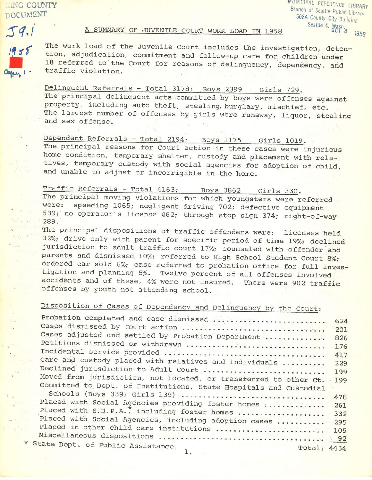**ING COUNTY DOCUMENT** 

MUNICIPAL REFERENCE LIBRARY Branch of Seattle Public Library 508A County-City Building Seattle 4. Wash 1959

 $J9.1$  $1955$ 

## A SUMMARY OF JUVENILE COURT WORK LOAD IN 1958

The work load of the Juvenile Court includes the investigation, detention, adjudication, commitment and follow-up care for children under 18 referred to the Court for reasons of delinquency, dependency, and traffic violation.

Delinquent Referrals - Total 3178; Boys 2399 Girls 729. The principal delinquent acts committed by boys were offenses against property, including auto theft, stealing, burglary, mischief, etc. The largest number of offenses by girls were runaway, liquor, stealing and sex offense.

Dependent Referrals - Total 2194; Boys 1175 Girls 1019. The principal reasons for Court action in these cases were injurious home condition, temporary shelter, custody and placement with relatives, temporary custody with social agencies for adoption of child, and unable to adjust or incorrigible in the home.

Traffic Referrals - Total 4163; Boys 3862 Girls 330. The principal moving violations for which youngsters were referred speeding 1065; negligent driving 702; defective equipment were: 539; no operator's license 462; through stop sign 374; right-of-way 289.

The principal dispositions of traffic offenders were: licenses held 32%; drive only with parent for specific period of time 19%; declined jurisdiction to adult traffic court 17%; counseled with offender and parents and dismissed 10%; referred to High School Student Court 8%; ordered car sold 6%; case referred to probation office for full investigation and planning 5%. Twelve percent of all offenses involved accidents and of these, 4% were not insured. There were 902 traffic offenses by youth not attending school.

## Disposition of Cases of Dependency and Delinquency by the Court:

| Probation completed and case dismissed                            | 624 |
|-------------------------------------------------------------------|-----|
|                                                                   | 201 |
| Cases adjusted and settled by Probation Department                |     |
|                                                                   | 826 |
| Petitions dismissed or withdrawn                                  | 176 |
|                                                                   | 417 |
| Care and custody placed with relatives and individuals            | 229 |
| Declined jurisdiction to Adult Court                              | 199 |
| Moved from jurisdiction, not located, or transferred to other Ct. | 199 |
| Committed to Dept. of Institutions, State Hospitals and Custodial |     |
| Schools (Boys 339; Girls 139)                                     |     |
|                                                                   | 478 |
| Placed with Social Agencies providing foster homes                | 261 |
| Placed with S.D.P.A., including foster homes  332                 |     |
| Placed with Social Agencies, including adoption cases  295        |     |
|                                                                   |     |
|                                                                   |     |
| * State Dept. of Public Assistance.                               |     |
| Total: 4434                                                       |     |
|                                                                   |     |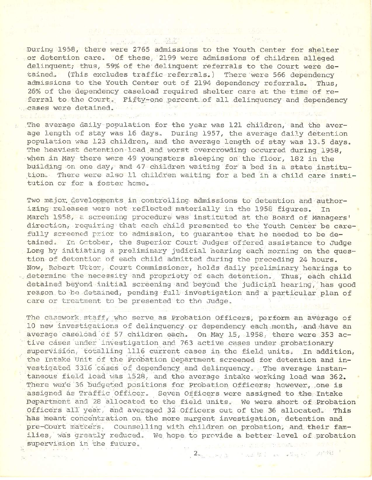During 1958, there were 2765 admissions to the Youth Center for shelter or detention care. Of these, 2199 were admissions of children alleged delinquent; thus, 59% of the delinquent referrals to the Court were de-(This excludes traffic referrals.) tained. There were 566 dependency admissions to the Youth Center out of 2194 dependency referrals. Thus, 26% of the dependency caseload required shelter care at the time of referral to the Court. Fifty-one percent of all delinquency and dependency cases were detained. **ELLANGE BRAND** 

a million of the Alli

The average daily population for the year was 121 children, and the average length of stay was 16 days. During 1957, the average daily detention population was 123 children, and the average length of stay was 13.5 days. The heaviest detention load and worst overcrowding occurred during 1958, when in May there were 49 youngsters sleeping on the floor, 182 in the building on one day, and 47 children waiting for a bed in a state institution. There were also 11 children waiting for a bed in a child care institution or for a foster home.

Two major developments in controlling admissions to detention and authorizing releases were not reflected materially in the 1958 figures. In March 1958, a screening procedure was instituted at the Board of Managers' direction, requiring that each child presented to the Youth Center be carefully screened prior to admission, to quarantee that he needed to be detained. In October, the Superior Court Judges offered assistance to Judge Long by initiating a preliminary judicial hearing each morning on the question of detention of each child admitted during the preceding 24 hours. Now, Robert Utter, Court Commissioner, holds daily preliminary hearings to determine the necessity and propriety of each detention. Thus, each child detained beyond initial screening and beyond the judicial hearing, has good reason to be detained, pending full investigation and a particular plan of care or treatment to be presented to the Judge.

The casework staff, who serve as Probation Officers, perform an average of 10 new investigations of delinquency or dependency each month, and have an average caseload of 57 children each. On May 15, 1958, there were 353 active cases under investigation and 763 active cases under probationary supervision, totalling 1116 current cases in the field units. In addition, the Intake Unit of the Probation Department screened for detention and investigated 3316 cases of dependency and delinquency. The average instantaneous field load was 1528, and the average intake working load was 362. There were 36 budgeted positions for Probation Officers; however, one is assigned as Traffic Officer. Seven Officers were assigned to the Intake Department and 28 allocated to the field units. We were short of Probation Officers all year, and averaged 32 Officers out of the 36 allocated. This has meant concentration on the more murgent investigation, detention and pre-Court matters. Counselling with children on probation, and their families, was greatly reduced. We hope to provide a better level of probation supervision in the future. Stad Transa

2. The same is not that the same of the state